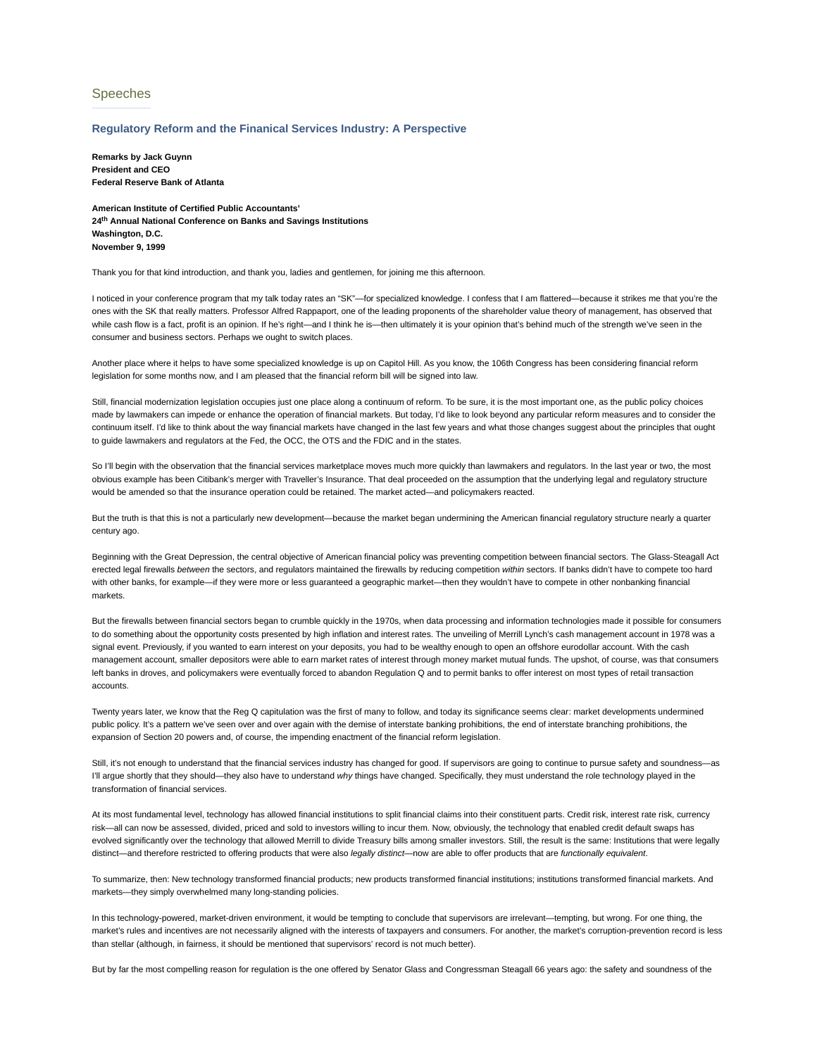## Speeches

## **Regulatory Reform and the Finanical Services Industry: A Perspective**

**Remarks by Jack Guynn President and CEO Federal Reserve Bank of Atlanta**

**American Institute of Certified Public Accountants'** 24<sup>th</sup> Annual National Conference on Banks and Savings Institutions **Washington, D.C. November 9, 1999**

Thank you for that kind introduction, and thank you, ladies and gentlemen, for joining me this afternoon.

I noticed in your conference program that my talk today rates an "SK"—for specialized knowledge. I confess that I am flattered—because it strikes me that you're the ones with the SK that really matters. Professor Alfred Rappaport, one of the leading proponents of the shareholder value theory of management, has observed that while cash flow is a fact, profit is an opinion. If he's right—and I think he is—then ultimately it is your opinion that's behind much of the strength we've seen in the consumer and business sectors. Perhaps we ought to switch places.

Another place where it helps to have some specialized knowledge is up on Capitol Hill. As you know, the 106th Congress has been considering financial reform legislation for some months now, and I am pleased that the financial reform bill will be signed into law.

Still, financial modernization legislation occupies just one place along a continuum of reform. To be sure, it is the most important one, as the public policy choices made by lawmakers can impede or enhance the operation of financial markets. But today, I'd like to look beyond any particular reform measures and to consider the continuum itself. I'd like to think about the way financial markets have changed in the last few years and what those changes suggest about the principles that ought to guide lawmakers and regulators at the Fed, the OCC, the OTS and the FDIC and in the states.

So I'll begin with the observation that the financial services marketplace moves much more quickly than lawmakers and regulators. In the last year or two, the most obvious example has been Citibank's merger with Traveller's Insurance. That deal proceeded on the assumption that the underlying legal and regulatory structure would be amended so that the insurance operation could be retained. The market acted—and policymakers reacted.

But the truth is that this is not a particularly new development—because the market began undermining the American financial regulatory structure nearly a quarter century ago.

Beginning with the Great Depression, the central objective of American financial policy was preventing competition between financial sectors. The Glass-Steagall Act erected legal firewalls *between* the sectors, and regulators maintained the firewalls by reducing competition *within* sectors. If banks didn't have to compete too hard with other banks, for example—if they were more or less guaranteed a geographic market—then they wouldn't have to compete in other nonbanking financial markets.

But the firewalls between financial sectors began to crumble quickly in the 1970s, when data processing and information technologies made it possible for consumers to do something about the opportunity costs presented by high inflation and interest rates. The unveiling of Merrill Lynch's cash management account in 1978 was a signal event. Previously, if you wanted to earn interest on your deposits, you had to be wealthy enough to open an offshore eurodollar account. With the cash management account, smaller depositors were able to earn market rates of interest through money market mutual funds. The upshot, of course, was that consumers left banks in droves, and policymakers were eventually forced to abandon Regulation Q and to permit banks to offer interest on most types of retail transaction accounts.

Twenty years later, we know that the Reg Q capitulation was the first of many to follow, and today its significance seems clear: market developments undermined public policy. It's a pattern we've seen over and over again with the demise of interstate banking prohibitions, the end of interstate branching prohibitions, the expansion of Section 20 powers and, of course, the impending enactment of the financial reform legislation.

Still, it's not enough to understand that the financial services industry has changed for good. If supervisors are going to continue to pursue safety and soundness—as I'll argue shortly that they should—they also have to understand why things have changed. Specifically, they must understand the role technology played in the transformation of financial services.

At its most fundamental level, technology has allowed financial institutions to split financial claims into their constituent parts. Credit risk, interest rate risk, currency risk—all can now be assessed, divided, priced and sold to investors willing to incur them. Now, obviously, the technology that enabled credit default swaps has evolved significantly over the technology that allowed Merrill to divide Treasury bills among smaller investors. Still, the result is the same: Institutions that were legally distinct—and therefore restricted to offering products that were also *legally distinct*—now are able to offer products that are *functionally equivalent*.

To summarize, then: New technology transformed financial products; new products transformed financial institutions; institutions transformed financial markets. And markets—they simply overwhelmed many long-standing policies.

In this technology-powered, market-driven environment, it would be tempting to conclude that supervisors are irrelevant-tempting, but wrong. For one thing, the market's rules and incentives are not necessarily aligned with the interests of taxpayers and consumers. For another, the market's corruption-prevention record is less than stellar (although, in fairness, it should be mentioned that supervisors' record is not much better).

But by far the most compelling reason for regulation is the one offered by Senator Glass and Congressman Steagall 66 years ago: the safety and soundness of the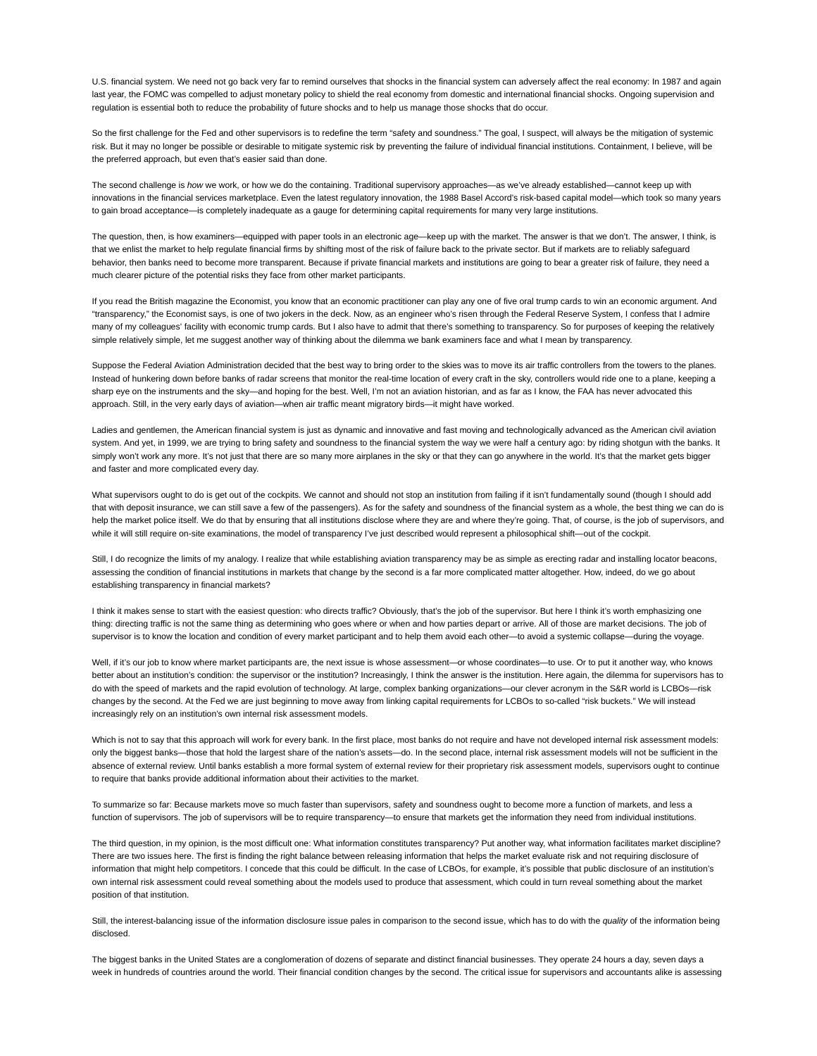U.S. financial system. We need not go back very far to remind ourselves that shocks in the financial system can adversely affect the real economy: In 1987 and again last year, the FOMC was compelled to adjust monetary policy to shield the real economy from domestic and international financial shocks. Ongoing supervision and regulation is essential both to reduce the probability of future shocks and to help us manage those shocks that do occur.

So the first challenge for the Fed and other supervisors is to redefine the term "safety and soundness." The goal, I suspect, will always be the mitigation of systemic risk. But it may no longer be possible or desirable to mitigate systemic risk by preventing the failure of individual financial institutions. Containment, I believe, will be the preferred approach, but even that's easier said than done.

The second challenge is *how* we work, or how we do the containing. Traditional supervisory approaches—as we've already established—cannot keep up with innovations in the financial services marketplace. Even the latest regulatory innovation, the 1988 Basel Accord's risk-based capital model—which took so many years to gain broad acceptance—is completely inadequate as a gauge for determining capital requirements for many very large institutions.

The question, then, is how examiners—equipped with paper tools in an electronic age—keep up with the market. The answer is that we don't. The answer, I think, is that we enlist the market to help regulate financial firms by shifting most of the risk of failure back to the private sector. But if markets are to reliably safeguard behavior, then banks need to become more transparent. Because if private financial markets and institutions are going to bear a greater risk of failure, they need a much clearer picture of the potential risks they face from other market participants.

If you read the British magazine the Economist, you know that an economic practitioner can play any one of five oral trump cards to win an economic argument. And "transparency," the Economist says, is one of two jokers in the deck. Now, as an engineer who's risen through the Federal Reserve System, I confess that I admire many of my colleagues' facility with economic trump cards. But I also have to admit that there's something to transparency. So for purposes of keeping the relatively simple relatively simple, let me suggest another way of thinking about the dilemma we bank examiners face and what I mean by transparency.

Suppose the Federal Aviation Administration decided that the best way to bring order to the skies was to move its air traffic controllers from the towers to the planes. Instead of hunkering down before banks of radar screens that monitor the real-time location of every craft in the sky, controllers would ride one to a plane, keeping a sharp eye on the instruments and the sky—and hoping for the best. Well, I'm not an aviation historian, and as far as I know, the FAA has never advocated this approach. Still, in the very early days of aviation—when air traffic meant migratory birds—it might have worked.

Ladies and gentlemen, the American financial system is just as dynamic and innovative and fast moving and technologically advanced as the American civil aviation system. And yet, in 1999, we are trying to bring safety and soundness to the financial system the way we were half a century ago: by riding shotgun with the banks. It simply won't work any more. It's not just that there are so many more airplanes in the sky or that they can go anywhere in the world. It's that the market gets bigger and faster and more complicated every day.

What supervisors ought to do is get out of the cockpits. We cannot and should not stop an institution from failing if it isn't fundamentally sound (though I should add that with deposit insurance, we can still save a few of the passengers). As for the safety and soundness of the financial system as a whole, the best thing we can do is help the market police itself. We do that by ensuring that all institutions disclose where they are and where they're going. That, of course, is the job of supervisors, and while it will still require on-site examinations, the model of transparency I've just described would represent a philosophical shift—out of the cockpit.

Still, I do recognize the limits of my analogy. I realize that while establishing aviation transparency may be as simple as erecting radar and installing locator beacons, assessing the condition of financial institutions in markets that change by the second is a far more complicated matter altogether. How, indeed, do we go about establishing transparency in financial markets?

I think it makes sense to start with the easiest question: who directs traffic? Obviously, that's the job of the supervisor. But here I think it's worth emphasizing one thing: directing traffic is not the same thing as determining who goes where or when and how parties depart or arrive. All of those are market decisions. The job of supervisor is to know the location and condition of every market participant and to help them avoid each other—to avoid a systemic collapse—during the voyage.

Well, if it's our job to know where market participants are, the next issue is whose assessment—or whose coordinates—to use. Or to put it another way, who knows better about an institution's condition: the supervisor or the institution? Increasingly, I think the answer is the institution. Here again, the dilemma for supervisors has to do with the speed of markets and the rapid evolution of technology. At large, complex banking organizations—our clever acronym in the S&R world is LCBOs—risk changes by the second. At the Fed we are just beginning to move away from linking capital requirements for LCBOs to so-called "risk buckets." We will instead increasingly rely on an institution's own internal risk assessment models.

Which is not to say that this approach will work for every bank. In the first place, most banks do not require and have not developed internal risk assessment models: only the biggest banks—those that hold the largest share of the nation's assets—do. In the second place, internal risk assessment models will not be sufficient in the absence of external review. Until banks establish a more formal system of external review for their proprietary risk assessment models, supervisors ought to continue to require that banks provide additional information about their activities to the market.

To summarize so far: Because markets move so much faster than supervisors, safety and soundness ought to become more a function of markets, and less a function of supervisors. The job of supervisors will be to require transparency—to ensure that markets get the information they need from individual institutions.

The third question, in my opinion, is the most difficult one: What information constitutes transparency? Put another way, what information facilitates market discipline? There are two issues here. The first is finding the right balance between releasing information that helps the market evaluate risk and not requiring disclosure of information that might help competitors. I concede that this could be difficult. In the case of LCBOs, for example, it's possible that public disclosure of an institution's own internal risk assessment could reveal something about the models used to produce that assessment, which could in turn reveal something about the market position of that institution.

Still, the interest-balancing issue of the information disclosure issue pales in comparison to the second issue, which has to do with the *quality* of the information being disclosed.

The biggest banks in the United States are a conglomeration of dozens of separate and distinct financial businesses. They operate 24 hours a day, seven days a week in hundreds of countries around the world. Their financial condition changes by the second. The critical issue for supervisors and accountants alike is assessing